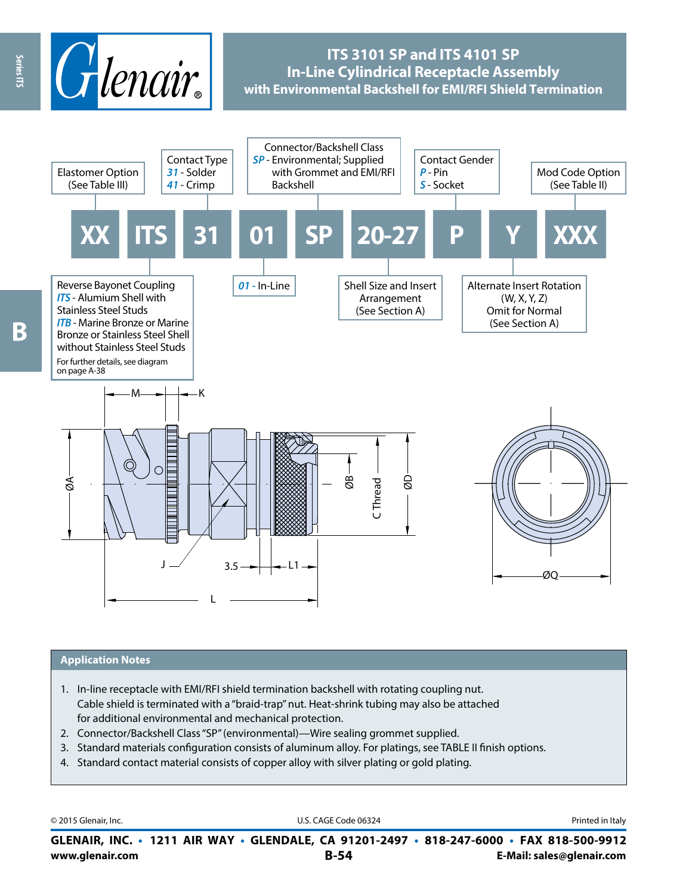

# **ITS 3101 SP and ITS 4101 SP In-Line Cylindrical Receptacle Assembly with Environmental Backshell for EMI/RFI Shield Termination**



### **Application Notes**

- 1. In-line receptacle with EMI/RFI shield termination backshell with rotating coupling nut. Cable shield is terminated with a "braid-trap" nut. Heat-shrink tubing may also be attached for additional environmental and mechanical protection.
- 2. Connector/Backshell Class "SP" (environmental)—Wire sealing grommet supplied.
- 3. Standard materials configuration consists of aluminum alloy. For platings, see TABLE II finish options.
- 4. Standard contact material consists of copper alloy with silver plating or gold plating.

| © 2015 Glenair, Inc. | U.S. CAGE Code 06324                                                                     | Printed in Italy          |
|----------------------|------------------------------------------------------------------------------------------|---------------------------|
|                      | GLENAIR, INC. • 1211 AIR WAY • GLENDALE, CA 91201-2497 • 818-247-6000 • FAX 818-500-9912 |                           |
| www.glenair.com      | $B-54$                                                                                   | E-Mail: sales@glenair.com |

Series ITS